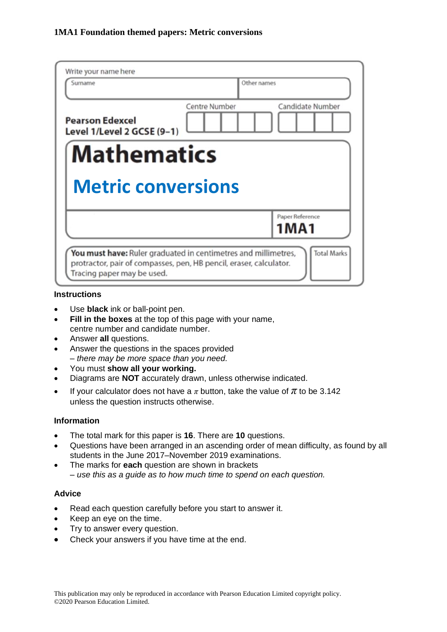| Surname                                              | Other names   |                            |
|------------------------------------------------------|---------------|----------------------------|
| <b>Pearson Edexcel</b><br>Level 1/Level 2 GCSE (9-1) | Centre Number | Candidate Number           |
| <b>Mathematics</b><br><b>Metric conversions</b>      |               |                            |
|                                                      |               |                            |
|                                                      |               | Paper Reference<br>1 M A 1 |

### **Instructions**

- Use **black** ink or ball-point pen.
- **Fill in the boxes** at the top of this page with your name, centre number and candidate number.
- Answer **all** questions.
- Answer the questions in the spaces provided *– there may be more space than you need.*
- You must **show all your working.**
- Diagrams are **NOT** accurately drawn, unless otherwise indicated.
- If your calculator does not have a  $\pi$  button, take the value of  $\pi$  to be 3.142 unless the question instructs otherwise.

### **Information**

- The total mark for this paper is **16**. There are **10** questions.
- Questions have been arranged in an ascending order of mean difficulty, as found by all students in the June 2017–November 2019 examinations.
- The marks for **each** question are shown in brackets *– use this as a guide as to how much time to spend on each question.*

## **Advice**

- Read each question carefully before you start to answer it.
- Keep an eye on the time.
- Try to answer every question.
- Check your answers if you have time at the end.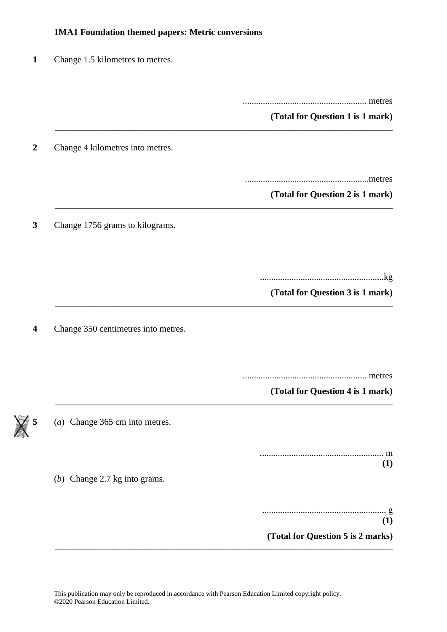# **1MA1 Foundation themed papers: Metric conversions**

| Change 1.5 kilometres to metres.    |                                             |
|-------------------------------------|---------------------------------------------|
|                                     |                                             |
|                                     | (Total for Question 1 is 1 mark)            |
| Change 4 kilometres into metres.    |                                             |
|                                     | .metres<br>(Total for Question 2 is 1 mark) |
| Change 1756 grams to kilograms.     |                                             |
|                                     | (Total for Question 3 is 1 mark)            |
| Change 350 centimetres into metres. |                                             |
|                                     |                                             |
| (a) Change 365 cm into metres.      | (Total for Question 4 is 1 mark)            |
|                                     | (1)                                         |
| (b) Change $2.7$ kg into grams.     |                                             |
|                                     | (1)<br>(Total for Question 5 is 2 marks)    |

This publication may only be reproduced in accordance with Pearson Education Limited copyright policy. ©2020 Pearson Education Limited.

 $\times$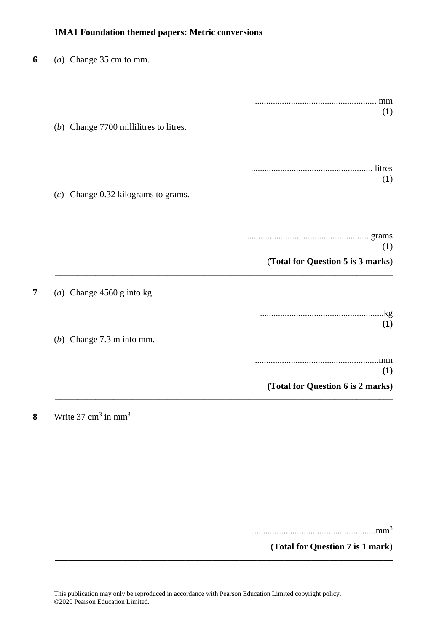# **1MA1 Foundation themed papers: Metric conversions**

| 6 | (a) Change $35 \text{ cm}$ to mm.      |                                   |
|---|----------------------------------------|-----------------------------------|
|   |                                        |                                   |
|   | (b) Change 7700 millilitres to litres. | (1)                               |
|   |                                        | (1)                               |
|   | $(c)$ Change 0.32 kilograms to grams.  |                                   |
|   |                                        | (1)                               |
|   |                                        | (Total for Question 5 is 3 marks) |
| 7 | (a) Change $4560$ g into kg.           |                                   |
|   |                                        | (1)                               |
|   | (b) Change $7.3$ m into mm.            |                                   |
|   |                                        | (1)                               |
|   |                                        | (Total for Question 6 is 2 marks) |

**8** Write  $37 \text{ cm}^3$  in mm<sup>3</sup>

.......................................................mm<sup>3</sup>

**(Total for Question 7 is 1 mark)**

**\_\_\_\_\_\_\_\_\_\_\_\_\_\_\_\_\_\_\_\_\_\_\_\_\_\_\_\_\_\_\_\_\_\_\_\_\_\_\_\_\_\_\_\_\_\_\_\_\_\_\_\_\_\_\_\_\_\_\_\_\_\_\_\_\_\_\_\_\_\_\_\_\_\_\_**